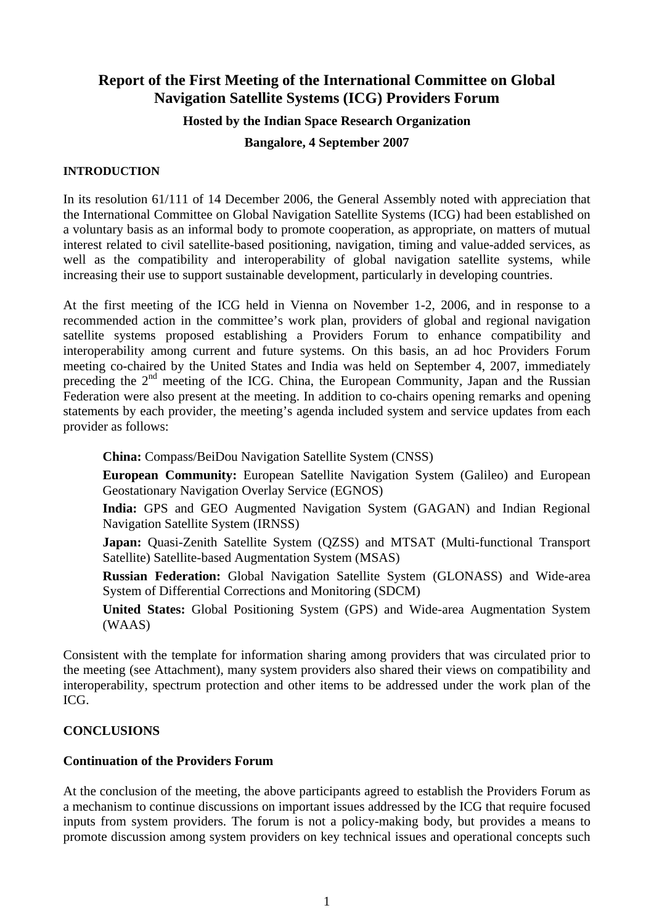# **Report of the First Meeting of the International Committee on Global Navigation Satellite Systems (ICG) Providers Forum**

### **Hosted by the Indian Space Research Organization**

### **Bangalore, 4 September 2007**

### **INTRODUCTION**

In its resolution 61/111 of 14 December 2006, the General Assembly noted with appreciation that the International Committee on Global Navigation Satellite Systems (ICG) had been established on a voluntary basis as an informal body to promote cooperation, as appropriate, on matters of mutual interest related to civil satellite-based positioning, navigation, timing and value-added services, as well as the compatibility and interoperability of global navigation satellite systems, while increasing their use to support sustainable development, particularly in developing countries.

At the first meeting of the ICG held in Vienna on November 1-2, 2006, and in response to a recommended action in the committee's work plan, providers of global and regional navigation satellite systems proposed establishing a Providers Forum to enhance compatibility and interoperability among current and future systems. On this basis, an ad hoc Providers Forum meeting co-chaired by the United States and India was held on September 4, 2007, immediately preceding the  $2<sup>nd</sup>$  meeting of the ICG. China, the European Community, Japan and the Russian Federation were also present at the meeting. In addition to co-chairs opening remarks and opening statements by each provider, the meeting's agenda included system and service updates from each provider as follows:

**China:** Compass/BeiDou Navigation Satellite System (CNSS)

**European Community:** European Satellite Navigation System (Galileo) and European Geostationary Navigation Overlay Service (EGNOS)

**India:** GPS and GEO Augmented Navigation System (GAGAN) and Indian Regional Navigation Satellite System (IRNSS)

**Japan:** Quasi-Zenith Satellite System (QZSS) and MTSAT (Multi-functional Transport Satellite) Satellite-based Augmentation System (MSAS)

**Russian Federation:** Global Navigation Satellite System (GLONASS) and Wide-area System of Differential Corrections and Monitoring (SDCM)

**United States:** Global Positioning System (GPS) and Wide-area Augmentation System (WAAS)

Consistent with the template for information sharing among providers that was circulated prior to the meeting (see Attachment), many system providers also shared their views on compatibility and interoperability, spectrum protection and other items to be addressed under the work plan of the ICG.

# **CONCLUSIONS**

#### **Continuation of the Providers Forum**

At the conclusion of the meeting, the above participants agreed to establish the Providers Forum as a mechanism to continue discussions on important issues addressed by the ICG that require focused inputs from system providers. The forum is not a policy-making body, but provides a means to promote discussion among system providers on key technical issues and operational concepts such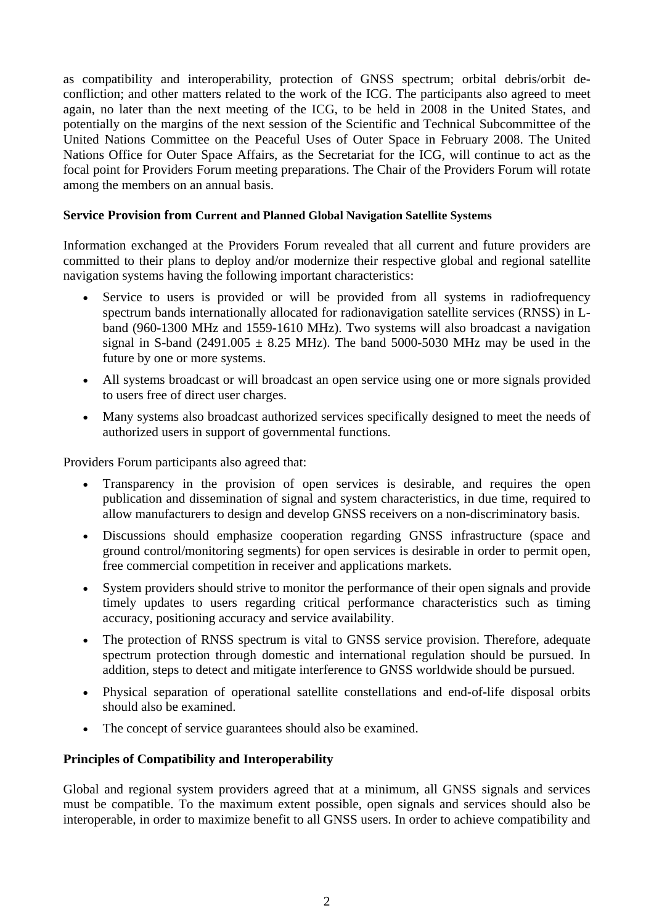as compatibility and interoperability, protection of GNSS spectrum; orbital debris/orbit deconfliction; and other matters related to the work of the ICG. The participants also agreed to meet again, no later than the next meeting of the ICG, to be held in 2008 in the United States, and potentially on the margins of the next session of the Scientific and Technical Subcommittee of the United Nations Committee on the Peaceful Uses of Outer Space in February 2008. The United Nations Office for Outer Space Affairs, as the Secretariat for the ICG, will continue to act as the focal point for Providers Forum meeting preparations. The Chair of the Providers Forum will rotate among the members on an annual basis.

## **Service Provision from Current and Planned Global Navigation Satellite Systems**

Information exchanged at the Providers Forum revealed that all current and future providers are committed to their plans to deploy and/or modernize their respective global and regional satellite navigation systems having the following important characteristics:

- Service to users is provided or will be provided from all systems in radiofrequency spectrum bands internationally allocated for radionavigation satellite services (RNSS) in Lband (960-1300 MHz and 1559-1610 MHz). Two systems will also broadcast a navigation signal in S-band (2491.005  $\pm$  8.25 MHz). The band 5000-5030 MHz may be used in the future by one or more systems.
- All systems broadcast or will broadcast an open service using one or more signals provided to users free of direct user charges.
- Many systems also broadcast authorized services specifically designed to meet the needs of authorized users in support of governmental functions.

Providers Forum participants also agreed that:

- Transparency in the provision of open services is desirable, and requires the open publication and dissemination of signal and system characteristics, in due time, required to allow manufacturers to design and develop GNSS receivers on a non-discriminatory basis.
- Discussions should emphasize cooperation regarding GNSS infrastructure (space and ground control/monitoring segments) for open services is desirable in order to permit open, free commercial competition in receiver and applications markets.
- System providers should strive to monitor the performance of their open signals and provide timely updates to users regarding critical performance characteristics such as timing accuracy, positioning accuracy and service availability.
- The protection of RNSS spectrum is vital to GNSS service provision. Therefore, adequate spectrum protection through domestic and international regulation should be pursued. In addition, steps to detect and mitigate interference to GNSS worldwide should be pursued.
- Physical separation of operational satellite constellations and end-of-life disposal orbits should also be examined.
- The concept of service guarantees should also be examined.

# **Principles of Compatibility and Interoperability**

Global and regional system providers agreed that at a minimum, all GNSS signals and services must be compatible. To the maximum extent possible, open signals and services should also be interoperable, in order to maximize benefit to all GNSS users. In order to achieve compatibility and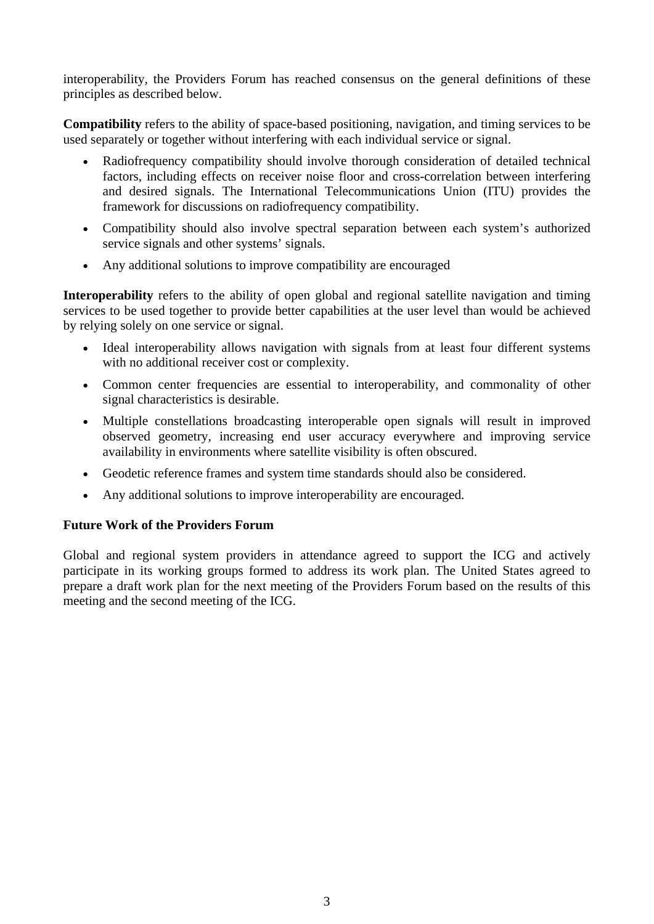interoperability, the Providers Forum has reached consensus on the general definitions of these principles as described below.

**Compatibility** refers to the ability of space-based positioning, navigation, and timing services to be used separately or together without interfering with each individual service or signal.

- Radiofrequency compatibility should involve thorough consideration of detailed technical factors, including effects on receiver noise floor and cross-correlation between interfering and desired signals. The International Telecommunications Union (ITU) provides the framework for discussions on radiofrequency compatibility.
- Compatibility should also involve spectral separation between each system's authorized service signals and other systems' signals.
- Any additional solutions to improve compatibility are encouraged

**Interoperability** refers to the ability of open global and regional satellite navigation and timing services to be used together to provide better capabilities at the user level than would be achieved by relying solely on one service or signal.

- Ideal interoperability allows navigation with signals from at least four different systems with no additional receiver cost or complexity.
- Common center frequencies are essential to interoperability, and commonality of other signal characteristics is desirable.
- Multiple constellations broadcasting interoperable open signals will result in improved observed geometry, increasing end user accuracy everywhere and improving service availability in environments where satellite visibility is often obscured.
- Geodetic reference frames and system time standards should also be considered.
- Any additional solutions to improve interoperability are encouraged.

# **Future Work of the Providers Forum**

Global and regional system providers in attendance agreed to support the ICG and actively participate in its working groups formed to address its work plan. The United States agreed to prepare a draft work plan for the next meeting of the Providers Forum based on the results of this meeting and the second meeting of the ICG.